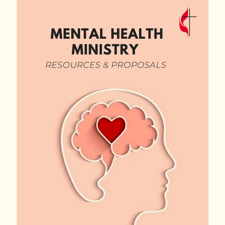

#### **MENTAL HEALTH MINISTRY** *RESOURCES & PROPOSALS*

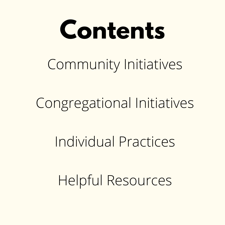# **Contents** Community Initiatives

Congregational Initiatives

Individual Practices

Helpful Resources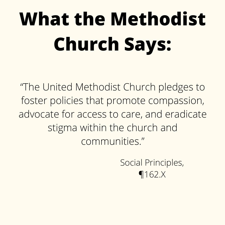### **What the Methodist Church Says:**

"The United Methodist Church pledges to foster policies that promote compassion, advocate for access to care, and eradicate stigma within the church and communities."

> Social Principles, ¶162.X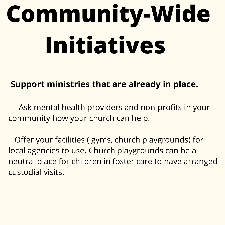# **Community-Wide Initiatives**

#### **Support ministries that are already in place.**

Ask mental health providers and non-profits in your community how your church can help.

Offer your facilities ( gyms, church playgrounds) for local agencies to use. Church playgrounds can be a neutral place for children in foster care to have arranged custodial visits.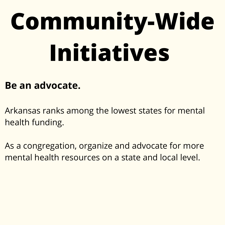# **Community-Wide Initiatives**

#### **Be an advocate.**

Arkansas ranks among the lowest states for mental health funding.

As a congregation, organize and advocate for more mental health resources on a state and local level.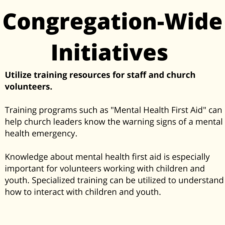#### **Utilize training resources for staff and church volunteers.**

Training programs such as "Mental Health First Aid" can help church leaders know the warning signs of a mental health emergency.

Knowledge about mental health first aid is especially important for volunteers working with children and youth. Specialized training can be utilized to understand how to interact with children and youth.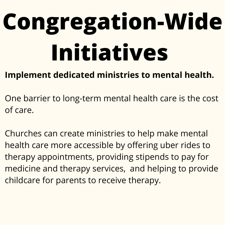#### **Implement dedicated ministries to mental health.**

One barrier to long-term mental health care is the cost of care.

Churches can create ministries to help make mental health care more accessible by offering uber rides to therapy appointments, providing stipends to pay for medicine and therapy services, and helping to provide childcare for parents to receive therapy.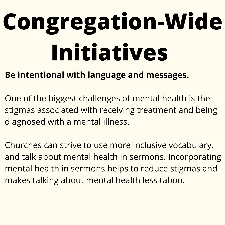#### **Be intentional with language and messages.**

One of the biggest challenges of mental health is the stigmas associated with receiving treatment and being diagnosed with a mental illness.

Churches can strive to use more inclusive vocabulary, and talk about mental health in sermons. Incorporating mental health in sermons helps to reduce stigmas and makes talking about mental health less taboo.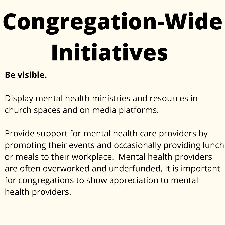#### **Be visible.**

Display mental health ministries and resources in church spaces and on media platforms.

Provide support for mental health care providers by promoting their events and occasionally providing lunch or meals to their workplace. Mental health providers are often overworked and underfunded. It is important for congregations to show appreciation to mental health providers.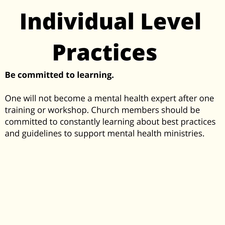# **Individual Level Practices**

#### **Be committed to learning.**

One will not become a mental health expert after one training or workshop. Church members should be committed to constantly learning about best practices and guidelines to support mental health ministries.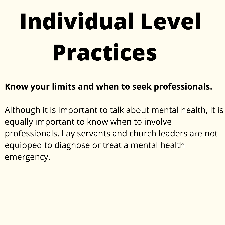# **Individual Level Practices**

#### **Know your limits and when to seek professionals.**

Although it is important to talk about mental health, it is equally important to know when to involve professionals. Lay servants and church leaders are not equipped to diagnose or treat a mental health emergency.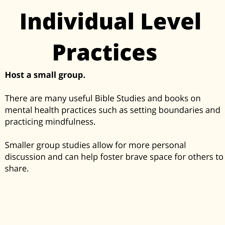# **Individual Level Practices**

#### **Host a small group.**

There are many useful Bible Studies and books on mental health practices such as setting boundaries and practicing mindfulness.

Smaller group studies allow for more personal discussion and can help foster brave space for others to share.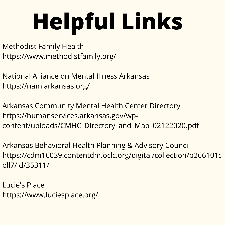### **Helpful Links**

- Methodist Family Health https://www.methodistfamily.org/
- National Alliance on Mental Illness Arkansas https://namiarkansas.org/
- Arkansas Community Mental Health Center Directory https://humanservices.arkansas.gov/wpcontent/uploads/CMHC\_Directory\_and\_Map\_02122020.pdf
- Arkansas Behavioral Health Planning & Advisory Council https://cdm16039.contentdm.oclc.org/digital/collection/p266101c oll7/id/35311/
- Lucie's Place https://www.luciesplace.org/